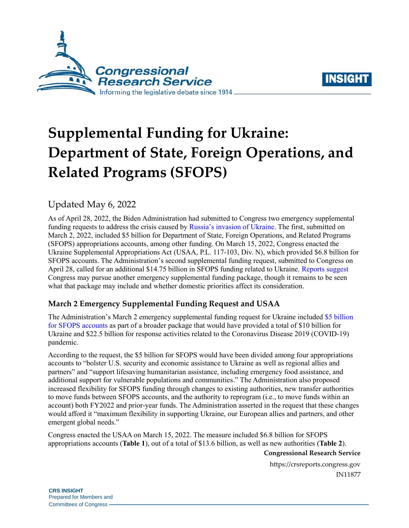



# **Supplemental Funding for Ukraine: Department of State, Foreign Operations, and Related Programs (SFOPS)**

# Updated May 6, 2022

As of April 28, 2022, the Biden Administration had submitted to Congress two emergency supplemental funding requests to address the crisis caused by [Russia's invasion of Ukraine.](https://crsreports.congress.gov/product/pdf/R/R47054) The first, submitted on March 2, 2022, included \$5 billion for Department of State, Foreign Operations, and Related Programs (SFOPS) appropriations accounts, among other funding. On March 15, 2022, Congress enacted the Ukraine Supplemental Appropriations Act (USAA, [P.L. 117-103,](http://www.congress.gov/cgi-lis/bdquery/R?d117:FLD002:@1(117+103)) Div. N), which provided \$6.8 billion for SFOPS accounts. The Administration's second supplemental funding request, submitted to Congress on April 28, called for an additional \$14.75 billion in SFOPS funding related to Ukraine. [Reports suggest](https://www.cnn.com/2022/04/28/politics/congress-ukraine-aid-negotiations/index.html) Congress may pursue another emergency supplemental funding package, though it remains to be seen what that package may include and whether domestic priorities affect its consideration.

## **March 2 Emergency Supplemental Funding Request and USAA**

The Administration's March 2 emergency supplemental funding request for Ukraine included [\\$5 billion](https://www.whitehouse.gov/wp-content/uploads/2022/03/COVID-and-Ukraine-Supplemental-Funding-Request-Pelosi.pdf)  [for SFOPS accounts](https://www.whitehouse.gov/wp-content/uploads/2022/03/COVID-and-Ukraine-Supplemental-Funding-Request-Pelosi.pdf) as part of a broader package that would have provided a total of \$10 billion for Ukraine and \$22.5 billion for response activities related to the Coronavirus Disease 2019 (COVID-19) pandemic.

According to the request, the \$5 billion for SFOPS would have been divided among four appropriations accounts to "bolster U.S. security and economic assistance to Ukraine as well as regional allies and partners" and "support lifesaving humanitarian assistance, including emergency food assistance, and additional support for vulnerable populations and communities." The Administration also proposed increased flexibility for SFOPS funding through changes to existing authorities, new transfer authorities to move funds between SFOPS accounts, and the authority to reprogram (i.e., to move funds within an account) both FY2022 and prior-year funds. The Administration asserted in the request that these changes would afford it "maximum flexibility in supporting Ukraine, our European allies and partners, and other emergent global needs."

Congress enacted the USAA on March 15, 2022. The measure included \$6.8 billion for SFOPS appropriations accounts (**[Table 1](#page-1-0)**), out of a total of \$13.6 billion, as well as new authorities (**[Table 2](#page-1-1)**).

#### **Congressional Research Service**

https://crsreports.congress.gov IN11877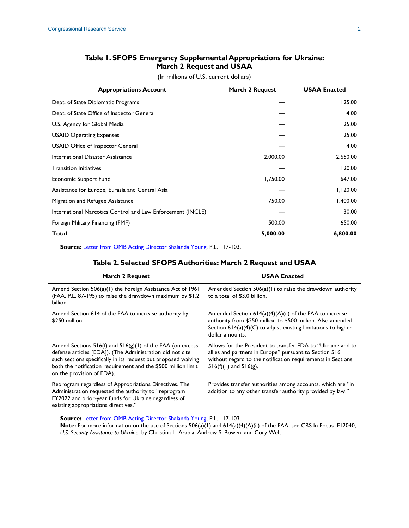## **Table 1. SFOPS Emergency Supplemental Appropriations for Ukraine: March 2 Request and USAA**

(In millions of U.S. current dollars)

<span id="page-1-0"></span>

| <b>Appropriations Account</b>                               | March 2 Request | <b>USAA Enacted</b> |
|-------------------------------------------------------------|-----------------|---------------------|
| Dept. of State Diplomatic Programs                          |                 | 125.00              |
| Dept. of State Office of Inspector General                  |                 | 4.00                |
| U.S. Agency for Global Media                                |                 | 25.00               |
| <b>USAID Operating Expenses</b>                             |                 | 25.00               |
| USAID Office of Inspector General                           |                 | 4.00                |
| International Disaster Assistance                           | 2,000.00        | 2,650.00            |
| <b>Transition Initiatives</b>                               |                 | 120.00              |
| Economic Support Fund                                       | 1,750.00        | 647.00              |
| Assistance for Europe, Eurasia and Central Asia             |                 | 1,120.00            |
| Migration and Refugee Assistance                            | 750.00          | 1,400.00            |
| International Narcotics Control and Law Enforcement (INCLE) |                 | 30.00               |
| Foreign Military Financing (FMF)                            | 500.00          | 650.00              |
| Total                                                       | 5,000.00        | 6,800.00            |

<span id="page-1-1"></span>**Source:** [Letter from OMB Acting Director Shalanda Young,](https://www.whitehouse.gov/wp-content/uploads/2022/03/COVID-and-Ukraine-Supplemental-Funding-Request-Pelosi.pdf) [P.L. 117-103.](http://www.congress.gov/cgi-lis/bdquery/R?d117:FLD002:@1(117+103))

#### **Table 2. Selected SFOPS Authorities: March 2 Request and USAA**

| <b>March 2 Request</b>                                                                                                                                                                                                                                                                     | <b>USAA Enacted</b>                                                                                                                                                                                                |
|--------------------------------------------------------------------------------------------------------------------------------------------------------------------------------------------------------------------------------------------------------------------------------------------|--------------------------------------------------------------------------------------------------------------------------------------------------------------------------------------------------------------------|
| Amend Section 506(a)(1) the Foreign Assistance Act of 1961<br>(FAA, P.L. 87-195) to raise the drawdown maximum by \$1.2<br>billion.                                                                                                                                                        | Amended Section $506(a)(1)$ to raise the drawdown authority<br>to a total of \$3.0 billion.                                                                                                                        |
| Amend Section 614 of the FAA to increase authority by<br>\$250 million.                                                                                                                                                                                                                    | Amended Section $614(a)(4)(A)(ii)$ of the FAA to increase<br>authority from \$250 million to \$500 million. Also amended<br>Section $614(a)(4)(C)$ to adjust existing limitations to higher<br>dollar amounts.     |
| Amend Sections $516(f)$ and $516(g)(1)$ of the FAA (on excess<br>defense articles [EDA]). (The Administration did not cite<br>such sections specifically in its request but proposed waiving<br>both the notification requirement and the \$500 million limit<br>on the provision of EDA). | Allows for the President to transfer EDA to "Ukraine and to<br>allies and partners in Europe" pursuant to Section 516<br>without regard to the notification requirements in Sections<br>$516(f)(1)$ and $516(g)$ . |
| Reprogram regardless of Appropriations Directives. The<br>Administration requested the authority to "reprogram<br>FY2022 and prior-year funds for Ukraine regardless of<br>existing appropriations directives."                                                                            | Provides transfer authorities among accounts, which are "in<br>addition to any other transfer authority provided by law."                                                                                          |

**Source:** [Letter from OMB Acting Director Shalanda Young,](https://www.whitehouse.gov/wp-content/uploads/2022/03/COVID-and-Ukraine-Supplemental-Funding-Request-Pelosi.pdf) [P.L. 117-103.](http://www.congress.gov/cgi-lis/bdquery/R?d117:FLD002:@1(117+103)) **Note:** For more information on the use of Sections 506(a)(1) and 614(a)(4)(A)(ii) of the FAA, see CRS In Focus IF12040, *[U.S. Security Assistance to Ukraine](https://crsreports.congress.gov/product/pdf/IF/IF12040)*, by Christina L. Arabia, Andrew S. Bowen, and Cory Welt.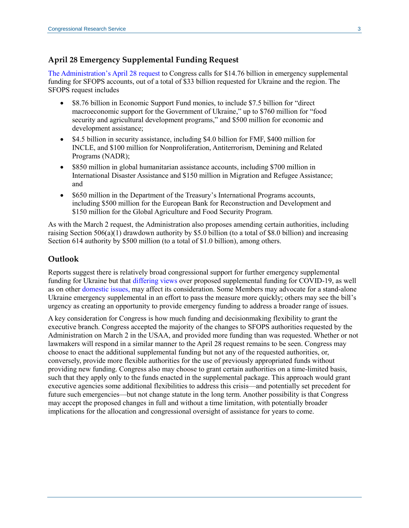### **April 28 Emergency Supplemental Funding Request**

[The Administration's April 28](https://www.whitehouse.gov/wp-content/uploads/2022/04/FY_2022_Emergency_Supplemental_Assistance-to-Ukraine_4.28.2022.pdf) request to Congress calls for \$14.76 billion in emergency supplemental funding for SFOPS accounts, out of a total of \$33 billion requested for Ukraine and the region. The SFOPS request includes

- \$8.76 billion in Economic Support Fund monies, to include \$7.5 billion for "direct" macroeconomic support for the Government of Ukraine," up to \$760 million for "food security and agricultural development programs," and \$500 million for economic and development assistance;
- \$4.5 billion in security assistance, including \$4.0 billion for FMF, \$400 million for INCLE, and \$100 million for Nonproliferation, Antiterrorism, Demining and Related Programs (NADR);
- \$850 million in global humanitarian assistance accounts, including \$700 million in International Disaster Assistance and \$150 million in Migration and Refugee Assistance; and
- \$650 million in the Department of the Treasury's International Programs accounts, including \$500 million for the European Bank for Reconstruction and Development and \$150 million for the Global Agriculture and Food Security Program.

As with the March 2 request, the Administration also proposes amending certain authorities, including raising Section  $506(a)(1)$  drawdown authority by \$5.0 billion (to a total of \$8.0 billion) and increasing Section 614 authority by \$500 million (to a total of \$1.0 billion), among others.

#### **Outlook**

Reports suggest there is relatively broad congressional support for further emergency supplemental funding for Ukraine but that [differing views](https://www.reuters.com/world/biden-looks-congress-oligarchs-more-cash-help-ukraine-2022-04-28/) over proposed supplemental funding for COVID-19, as well as on other [domestic issues,](https://www.politico.com/news/2022/04/28/white-houses-ukraine-aid-bid-00028430) may affect its consideration. Some Members may advocate for a stand-alone Ukraine emergency supplemental in an effort to pass the measure more quickly; others may see the bill's urgency as creating an opportunity to provide emergency funding to address a broader range of issues.

A key consideration for Congress is how much funding and decisionmaking flexibility to grant the executive branch. Congress accepted the majority of the changes to SFOPS authorities requested by the Administration on March 2 in the USAA, and provided more funding than was requested. Whether or not lawmakers will respond in a similar manner to the April 28 request remains to be seen. Congress may choose to enact the additional supplemental funding but not any of the requested authorities, or, conversely, provide more flexible authorities for the use of previously appropriated funds without providing new funding. Congress also may choose to grant certain authorities on a time-limited basis, such that they apply only to the funds enacted in the supplemental package. This approach would grant executive agencies some additional flexibilities to address this crisis—and potentially set precedent for future such emergencies—but not change statute in the long term. Another possibility is that Congress may accept the proposed changes in full and without a time limitation, with potentially broader implications for the allocation and congressional oversight of assistance for years to come.